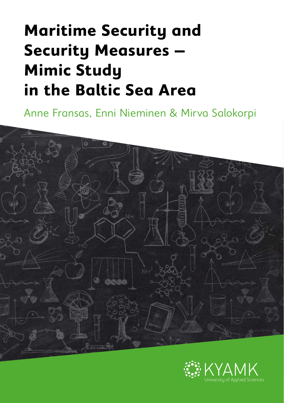# **Maritime Security and Security Measures – Mimic Study in the Baltic Sea Area**

Anne Fransas, Enni Nieminen & Mirva Salokorpi



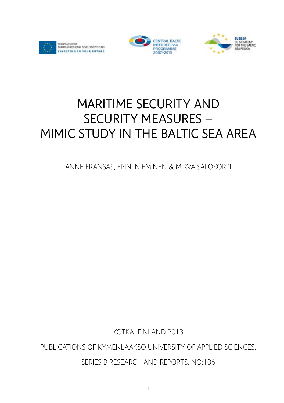





# MARITIME SECURITY AND SECURITY MEASURES – MIMIC STUDY IN THE BALTIC SEA AREA

Anne Fransas, Enni Nieminen & Mirva Salokorpi

Kotka, Finland 2013

Publications of Kymenlaakso University of Applied Sciences.

Series B Research and Reports. No:106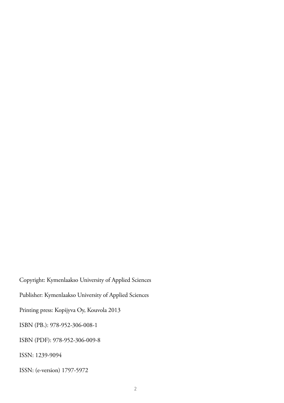Copyright: Kymenlaakso University of Applied Sciences Publisher: Kymenlaakso University of Applied Sciences Printing press: Kopijyva Oy, Kouvola 2013 ISBN (PB.): 978-952-306-008-1 ISBN (PDF): 978-952-306-009-8 ISSN: 1239-9094 ISSN: (e-version) 1797-5972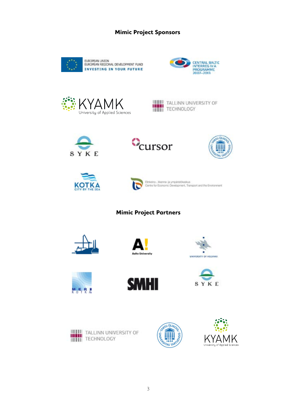#### MIMIC PROJECT SPONSORS **Mimic Project Sponsors**



















Elinkeino-, likenne- ja ympáristókeskus<br>Centra for Economic Development, Transport and the Environment

**Mimic Project Partners**

















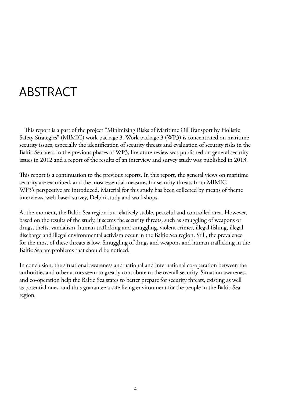# ABSTRACT

This report is a part of the project "Minimizing Risks of Maritime Oil Transport by Holistic Safety Strategies" (MIMIC) work package 3. Work package 3 (WP3) is concentrated on maritime security issues, especially the identification of security threats and evaluation of security risks in the Baltic Sea area. In the previous phases of WP3, literature review was published on general security issues in 2012 and a report of the results of an interview and survey study was published in 2013.

This report is a continuation to the previous reports. In this report, the general views on maritime security are examined, and the most essential measures for security threats from MIMIC WP3's perspective are introduced. Material for this study has been collected by means of theme interviews, web-based survey, Delphi study and workshops.

At the moment, the Baltic Sea region is a relatively stable, peaceful and controlled area. However, based on the results of the study, it seems the security threats, such as smuggling of weapons or drugs, thefts, vandalism, human trafficking and smuggling, violent crimes, illegal fishing, illegal discharge and illegal environmental activism occur in the Baltic Sea region. Still, the prevalence for the most of these threats is low. Smuggling of drugs and weapons and human trafficking in the Baltic Sea are problems that should be noticed.

In conclusion, the situational awareness and national and international co-operation between the authorities and other actors seem to greatly contribute to the overall security. Situation awareness and co-operation help the Baltic Sea states to better prepare for security threats, existing as well as potential ones, and thus guarantee a safe living environment for the people in the Baltic Sea region.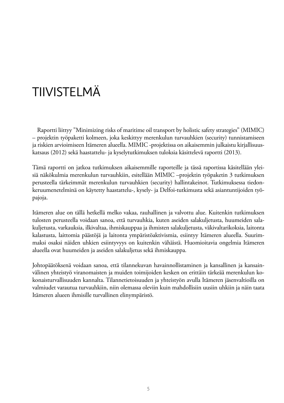# TIIVISTELMÄ

Raportti liittyy "Minimizing risks of maritime oil transport by holistic safety strategies" (MIMIC) – projektin työpaketti kolmeen, joka keskittyy merenkulun turvauhkien (security) tunnistamiseen ja riskien arvioimiseen Itämeren alueella. MIMIC -projektissa on aikaisemmin julkaistu kirjallisuuskatsaus (2012) sekä haastattelu- ja kyselytutkimuksen tuloksia käsittelevä raportti (2013).

Tämä raportti on jatkoa tutkimuksen aikaisemmille raporteille ja tässä raportissa käsitellään yleisiä näkökulmia merenkulun turvauhkiin, esitellään MIMIC –projektin työpaketin 3 tutkimuksen perusteella tärkeimmät merenkulun turvauhkien (security) hallintakeinot. Tutkimuksessa tiedonkeruumenetelminä on käytetty haastattelu-, kysely- ja Delfoi-tutkimusta sekä asiantuntijoiden työpajoja.

Itämeren alue on tällä hetkellä melko vakaa, rauhallinen ja valvottu alue. Kuitenkin tutkimuksen tulosten perusteella voidaan sanoa, että turvauhkia, kuten aseiden salakuljetusta, huumeiden salakuljetusta, varkauksia, ilkivaltaa, ihmiskauppaa ja ihmisten salakuljetusta, väkivaltarikoksia, laitonta kalastusta, laittomia päästöjä ja laitonta ympäristöaktivismia, esiintyy Itämeren alueella. Suurimmaksi osaksi näiden uhkien esiintyvyys on kuitenkin vähäistä. Huomioitavia ongelmia Itämeren alueella ovat huumeiden ja aseiden salakuljetus sekä ihmiskauppa.

Johtopäätöksenä voidaan sanoa, että tilannekuvan havainnollistaminen ja kansallinen ja kansainvälinen yhteistyö viranomaisten ja muiden toimijoiden kesken on erittäin tärkeää merenkulun kokonaisturvallisuuden kannalta. Tilannetietoisuuden ja yhteistyön avulla Itämeren jäsenvaltioilla on valmiudet varautua turvauhkiin, niin olemassa oleviin kuin mahdollisiin uusiin uhkiin ja näin taata Itämeren alueen ihmisille turvallinen elinympäristö.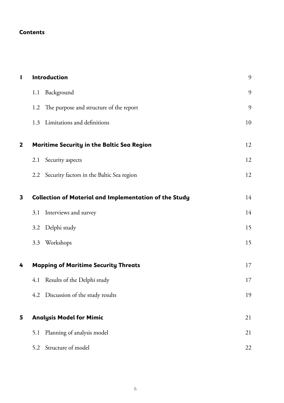#### **Contents**

| I | Introduction                                                  | 9  |
|---|---------------------------------------------------------------|----|
|   | Background<br>1.1                                             | 9  |
|   | The purpose and structure of the report<br>1.2                | 9  |
|   | Limitations and definitions<br>1.3                            | 10 |
| 2 | Maritime Security in the Baltic Sea Region                    | 12 |
|   | Security aspects<br>2.1                                       | 12 |
|   | Security factors in the Baltic Sea region<br>2.2              | 12 |
| 3 | <b>Collection of Material and Implementation of the Study</b> | 14 |
|   | Interviews and survey<br>3.1                                  | 14 |
|   | Delphi study<br>3.2                                           | 15 |
|   | Workshops<br>3.3                                              | 15 |
| 4 | <b>Mapping of Maritime Security Threats</b>                   | 17 |
|   | Results of the Delphi study<br>4.1                            | 17 |
|   | Discussion of the study results<br>4.2                        | 19 |
| 5 | <b>Analysis Model for Mimic</b>                               | 21 |
|   | Planning of analysis model<br>5.1                             | 21 |
|   | Structure of model<br>5.2                                     | 22 |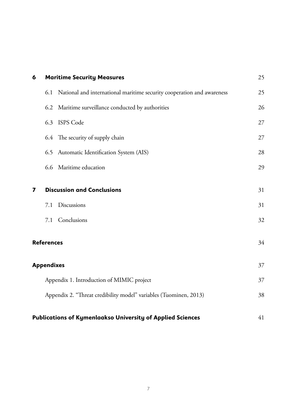| 6                       | <b>Maritime Security Measures</b>                                             | 25 |
|-------------------------|-------------------------------------------------------------------------------|----|
|                         | National and international maritime security cooperation and awareness<br>6.1 | 25 |
|                         | Maritime surveillance conducted by authorities<br>6.2                         | 26 |
|                         | <b>ISPS</b> Code<br>6.3                                                       | 27 |
|                         | The security of supply chain<br>6.4                                           | 27 |
|                         | 6.5 Automatic Identification System (AIS)                                     | 28 |
|                         | 6.6 Maritime education                                                        | 29 |
| $\overline{\mathbf{z}}$ | <b>Discussion and Conclusions</b>                                             | 31 |
|                         | Discussions<br>7.1                                                            | 31 |
|                         | Conclusions<br>7.1                                                            | 32 |
|                         | <b>References</b>                                                             | 34 |
|                         | <b>Appendixes</b>                                                             | 37 |
|                         | Appendix 1. Introduction of MIMIC project                                     | 37 |
|                         | Appendix 2. "Threat credibility model" variables (Tuominen, 2013)             | 38 |
|                         | <b>Publications of Kymenlaakso University of Applied Sciences</b>             | 41 |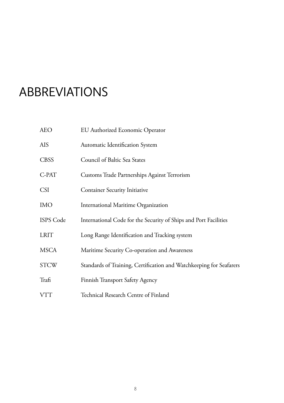# ABBREVIATIONS

| <b>AEO</b>  | EU Authorized Economic Operator                                     |
|-------------|---------------------------------------------------------------------|
| AIS         | Automatic Identification System                                     |
| <b>CBSS</b> | Council of Baltic Sea States                                        |
| C-PAT       | Customs Trade Partnerships Against Terrorism                        |
| <b>CSI</b>  | <b>Container Security Initiative</b>                                |
| <b>IMO</b>  | International Maritime Organization                                 |
| ISPS Code   | International Code for the Security of Ships and Port Facilities    |
| <b>LRIT</b> | Long Range Identification and Tracking system                       |
| <b>MSCA</b> | Maritime Security Co-operation and Awareness                        |
| <b>STCW</b> | Standards of Training, Certification and Watchkeeping for Seafarers |
| Trafi       | Finnish Transport Safety Agency                                     |
| <b>VTT</b>  | Technical Research Centre of Finland                                |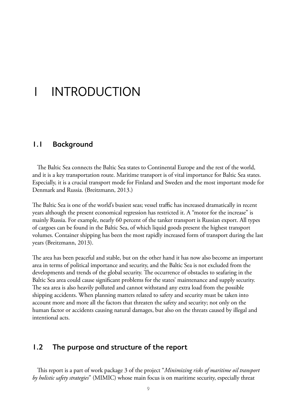# 1 Introduction

#### **1.1 Background**

The Baltic Sea connects the Baltic Sea states to Continental Europe and the rest of the world, and it is a key transportation route. Maritime transport is of vital importance for Baltic Sea states. Especially, it is a crucial transport mode for Finland and Sweden and the most important mode for Denmark and Russia. (Breitzmann, 2013.)

The Baltic Sea is one of the world's busiest seas; vessel traffic has increased dramatically in recent years although the present economical regression has restricted it. A "motor for the increase" is mainly Russia. For example, nearly 60 percent of the tanker transport is Russian export. All types of cargoes can be found in the Baltic Sea, of which liquid goods present the highest transport volumes. Container shipping has been the most rapidly increased form of transport during the last years (Breitzmann, 2013).

The area has been peaceful and stable, but on the other hand it has now also become an important area in terms of political importance and security, and the Baltic Sea is not excluded from the developments and trends of the global security. The occurrence of obstacles to seafaring in the Baltic Sea area could cause significant problems for the states' maintenance and supply security. The sea area is also heavily polluted and cannot withstand any extra load from the possible shipping accidents. When planning matters related to safety and security must be taken into account more and more all the factors that threaten the safety and security; not only on the human factor or accidents causing natural damages, but also on the threats caused by illegal and intentional acts.

#### **1.2 The purpose and structure of the report**

This report is a part of work package 3 of the project "*Minimizing risks of maritime oil transport by holistic safety strategies*" (MIMIC) whose main focus is on maritime security, especially threat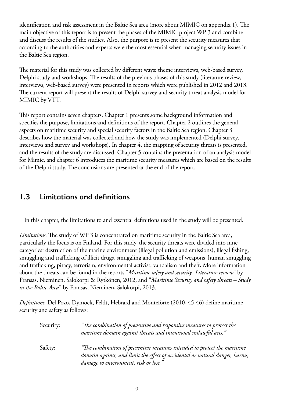identification and risk assessment in the Baltic Sea area (more about MIMIC on appendix 1). The main objective of this report is to present the phases of the MIMIC project WP 3 and combine and discuss the results of the studies. Also, the purpose is to present the security measures that according to the authorities and experts were the most essential when managing security issues in the Baltic Sea region.

The material for this study was collected by different ways: theme interviews, web-based survey, Delphi study and workshops. The results of the previous phases of this study (literature review, interviews, web-based survey) were presented in reports which were published in 2012 and 2013. The current report will present the results of Delphi survey and security threat analysis model for MIMIC by VTT.

This report contains seven chapters. Chapter 1 presents some background information and specifies the purpose, limitations and definitions of the report. Chapter 2 outlines the general aspects on maritime security and special security factors in the Baltic Sea region. Chapter 3 describes how the material was collected and how the study was implemented (Delphi survey, interviews and survey and workshops). In chapter 4, the mapping of security threats is presented, and the results of the study are discussed. Chapter 5 contains the presentation of an analysis model for Mimic, and chapter 6 introduces the maritime security measures which are based on the results of the Delphi study. The conclusions are presented at the end of the report.

### **1.3 Limitations and definitions**

In this chapter, the limitations to and essential definitions used in the study will be presented.

*Limitations.* The study of WP 3 is concentrated on maritime security in the Baltic Sea area, particularly the focus is on Finland. For this study, the security threats were divided into nine categories: destruction of the marine environment (illegal pollution and emissions), illegal fishing, smuggling and trafficking of illicit drugs, smuggling and trafficking of weapons, human smuggling and trafficking, piracy, terrorism, environmental activist, vandalism and theft**.** More information about the threats can be found in the reports "*Maritime safety and security -Literature review*" by Fransas, Nieminen, Salokorpi & Rytkönen, 2012, and "*Maritime Security and safety threats – Study in the Baltic Area*" by Fransas, Nieminen, Salokorpi, 2013.

*Definitions.* Del Pozo, Dymock, Feldt, Hebrard and Monteforte (2010, 45-46) define maritime security and safety as follows:

| Security: | "The combination of preventive and responsive measures to protect the<br>maritime domain against threats and intentional unlawful acts."                                                          |
|-----------|---------------------------------------------------------------------------------------------------------------------------------------------------------------------------------------------------|
| Safety:   | "The combination of preventive measures intended to protect the maritime<br>domain against, and limit the effect of accidental or natural danger, harms,<br>damage to environment, risk or loss." |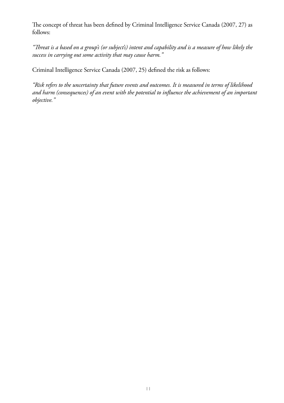The concept of threat has been defined by Criminal Intelligence Service Canada (2007, 27) as follows:

*"Threat is a based on a group's (or subject's) intent and capability and is a measure of how likely the success in carrying out some activity that may cause harm."*

Criminal Intelligence Service Canada (2007, 25) defined the risk as follows:

*"Risk refers to the uncertainty that future events and outcomes. It is measured in terms of likelihood and harm (consequences) of an event with the potential to influence the achievement of an important objective."*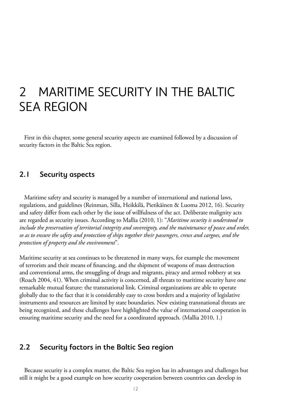### 2 Maritime security in the Baltic **SEA REGION**

First in this chapter, some general security aspects are examined followed by a discussion of security factors in the Baltic Sea region.

### **2.1 Security aspects**

Maritime safety and security is managed by a number of international and national laws, regulations, and guidelines (Reinman, Silla, Heikkilä, Pietikäinen & Luoma 2012, 16). Security and safety differ from each other by the issue of willfulness of the act. Deliberate malignity acts are regarded as security issues. According to Mallia (2010, 1): "*Maritime security is understood to include the preservation of territorial integrity and sovereignty, and the maintenance of peace and order, so as to ensure the safety and protection of ships together their passengers, crews and cargoes, and the protection of property and the environment*".

Maritime security at sea continues to be threatened in many ways, for example the movement of terrorists and their means of financing, and the shipment of weapons of mass destruction and conventional arms, the smuggling of drugs and migrants, piracy and armed robbery at sea (Roach 2004, 41). When criminal activity is concerned, all threats to maritime security have one remarkable mutual feature: the transnational link. Criminal organizations are able to operate globally due to the fact that it is considerably easy to cross borders and a majority of legislative instruments and resources are limited by state boundaries. New existing transnational threats are being recognized, and these challenges have highlighted the value of international cooperation in ensuring maritime security and the need for a coordinated approach. (Mallia 2010, 1.)

#### **2.2 Security factors in the Baltic Sea region**

Because security is a complex matter, the Baltic Sea region has its advantages and challenges but still it might be a good example on how security cooperation between countries can develop in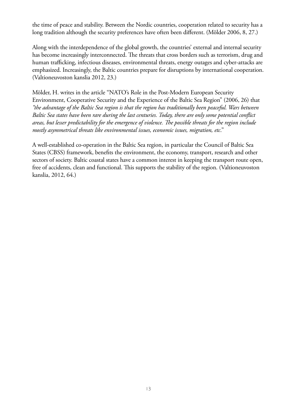the time of peace and stability. Between the Nordic countries, cooperation related to security has a long tradition although the security preferences have often been different. (Mölder 2006, 8, 27.)

Along with the interdependence of the global growth, the countries' external and internal security has become increasingly interconnected. The threats that cross borders such as terrorism, drug and human trafficking, infectious diseases, environmental threats, energy outages and cyber-attacks are emphasized. Increasingly, the Baltic countries prepare for disruptions by international cooperation. (Valtioneuvoston kanslia 2012, 23.)

Mölder, H. writes in the article "NATO's Role in the Post-Modern European Security Environment, Cooperative Security and the Experience of the Baltic Sea Region" (2006, 26) that *"the advantage of the Baltic Sea region is that the region has traditionally been peaceful. Wars between Baltic Sea states have been rare during the last centuries. Today, there are only some potential conflict areas, but lesser predictability for the emergence of violence. The possible threats for the region include mostly asymmetrical threats like environmental issues, economic issues, migration, etc*."

A well-established co-operation in the Baltic Sea region, in particular the Council of Baltic Sea States (CBSS) framework, benefits the environment, the economy, transport, research and other sectors of society. Baltic coastal states have a common interest in keeping the transport route open, free of accidents, clean and functional. This supports the stability of the region. (Valtioneuvoston kanslia, 2012, 64.)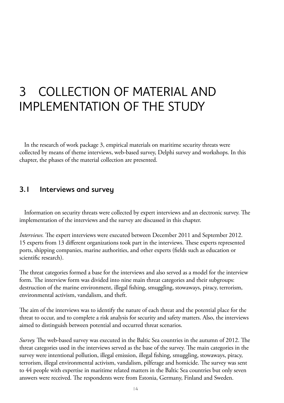# 3 COLLECTION OF MATERIAL and Implementation of the study

In the research of work package 3, empirical materials on maritime security threats were collected by means of theme interviews, web-based survey, Delphi survey and workshops. In this chapter, the phases of the material collection are presented.

### **3.1 Interviews and survey**

Information on security threats were collected by expert interviews and an electronic survey. The implementation of the interviews and the survey are discussed in this chapter.

*Interviews.* The expert interviews were executed between December 2011 and September 2012. 15 experts from 13 different organizations took part in the interviews. These experts represented ports, shipping companies, marine authorities, and other experts (fields such as education or scientific research).

The threat categories formed a base for the interviews and also served as a model for the interview form. The interview form was divided into nine main threat categories and their subgroups: destruction of the marine environment, illegal fishing, smuggling, stowaways, piracy, terrorism, environmental activism, vandalism, and theft.

The aim of the interviews was to identify the nature of each threat and the potential place for the threat to occur, and to complete a risk analysis for security and safety matters. Also, the interviews aimed to distinguish between potential and occurred threat scenarios.

*Survey.* The web-based survey was executed in the Baltic Sea countries in the autumn of 2012. The threat categories used in the interviews served as the base of the survey. The main categories in the survey were intentional pollution, illegal emission, illegal fishing, smuggling, stowaways, piracy, terrorism, illegal environmental activism, vandalism, pilferage and homicide. The survey was sent to 44 people with expertise in maritime related matters in the Baltic Sea countries but only seven answers were received. The respondents were from Estonia, Germany, Finland and Sweden.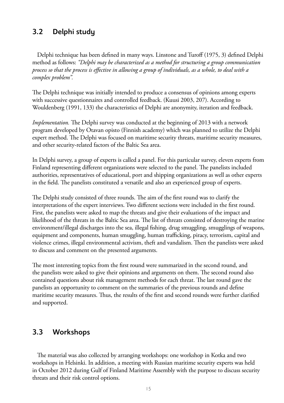### **3.2 Delphi study**

Delphi technique has been defined in many ways. Linstone and Turoff (1975, 3) defined Delphi method as follows: *"Delphi may be characterized as a method for structuring a group communication process so that the process is effective in allowing a group of individuals, as a whole, to deal with a complex problem".*

The Delphi technique was initially intended to produce a consensus of opinions among experts with successive questionnaires and controlled feedback. (Kuusi 2003, 207). According to Wouldenberg (1991, 133) the characteristics of Delphi are anonymity, iteration and feedback.

*Implementation.* The Delphi survey was conducted at the beginning of 2013 with a network program developed by Otavan opisto (Finnish academy) which was planned to utilize the Delphi expert method. The Delphi was focused on maritime security threats, maritime security measures, and other security-related factors of the Baltic Sea area.

In Delphi survey, a group of experts is called a panel. For this particular survey, eleven experts from Finland representing different organizations were selected to the panel. The panelists included authorities, representatives of educational, port and shipping organizations as well as other experts in the field. The panelists constituted a versatile and also an experienced group of experts.

The Delphi study consisted of three rounds. The aim of the first round was to clarify the interpretations of the expert interviews. Two different sections were included in the first round. First, the panelists were asked to map the threats and give their evaluations of the impact and likelihood of the threats in the Baltic Sea area. The list of threats consisted of destroying the marine environment/illegal discharges into the sea, illegal fishing, drug smuggling, smugglings of weapons, equipment and components, human smuggling, human trafficking, piracy, terrorism, capital and violence crimes, illegal environmental activism, theft and vandalism. Then the panelists were asked to discuss and comment on the presented arguments.

The most interesting topics from the first round were summarized in the second round, and the panelists were asked to give their opinions and arguments on them. The second round also contained questions about risk management methods for each threat. The last round gave the panelists an opportunity to comment on the summaries of the previous rounds and define maritime security measures. Thus, the results of the first and second rounds were further clarified and supported.

### **3.3 Workshops**

The material was also collected by arranging workshops: one workshop in Kotka and two workshops in Helsinki. In addition, a meeting with Russian maritime security experts was held in October 2012 during Gulf of Finland Maritime Assembly with the purpose to discuss security threats and their risk control options.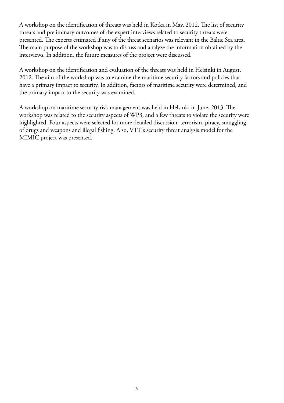A workshop on the identification of threats was held in Kotka in May, 2012. The list of security threats and preliminary outcomes of the expert interviews related to security threats were presented. The experts estimated if any of the threat scenarios was relevant in the Baltic Sea area. The main purpose of the workshop was to discuss and analyze the information obtained by the interviews. In addition, the future measures of the project were discussed.

A workshop on the identification and evaluation of the threats was held in Helsinki in August, 2012. The aim of the workshop was to examine the maritime security factors and policies that have a primary impact to security. In addition, factors of maritime security were determined, and the primary impact to the security was examined.

A workshop on maritime security risk management was held in Helsinki in June, 2013. The workshop was related to the security aspects of WP3, and a few threats to violate the security were highlighted. Four aspects were selected for more detailed discussion: terrorism, piracy, smuggling of drugs and weapons and illegal fishing. Also, VTT's security threat analysis model for the MIMIC project was presented.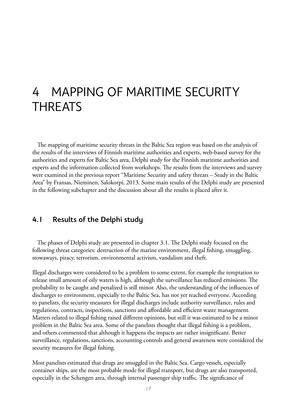### 4 Mapping of maritime security **THREATS**

The mapping of maritime security threats in the Baltic Sea region was based on the analysis of the results of the interviews of Finnish maritime authorities and experts, web-based survey for the authorities and experts for Baltic Sea area, Delphi study for the Finnish maritime authorities and experts and the information collected from workshops. The results from the interviews and survey were examined in the previous report "Maritime Security and safety threats – Study in the Baltic Area" by Fransas, Nieminen, Salokorpi, 2013. Some main results of the Delphi study are presented in the following subchapter and the discussion about all the results is placed after it.

#### **4.1 Results of the Delphi study**

The phases of Delphi study are presented in chapter 3.1. The Delphi study focused on the following threat categories: destruction of the marine environment, illegal fishing, smuggling, stowaways, piracy, terrorism, environmental activism, vandalism and theft.

Illegal discharges were considered to be a problem to some extent, for example the temptation to release small amount of oily waters is high, although the surveillance has reduced emissions. The probability to be caught and penalized is still minor. Also, the understanding of the influences of discharges to environment, especially to the Baltic Sea, has not yet reached everyone. According to panelists, the security measures for illegal discharges include authority surveillance, rules and regulations, contracts, inspections, sanctions and affordable and efficient waste management. Matters related to illegal fishing raised different opinions, but still it was estimated to be a minor problem in the Baltic Sea area. Some of the panelists thought that illegal fishing is a problem, and others commented that although it happens the impacts are rather insignificant. Better surveillance, regulations, sanctions, accounting controls and general awareness were considered the security measures for illegal fishing.

Most panelists estimated that drugs are smuggled in the Baltic Sea. Cargo vessels, especially container ships, are the most probable mode for illegal transport, but drugs are also transported, especially in the Schengen area, through internal passenger ship traffic. The significance of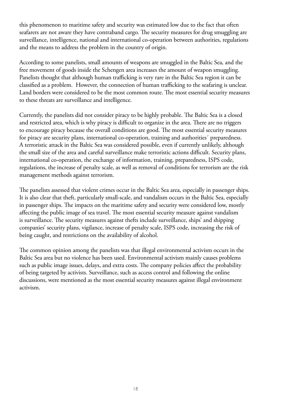this phenomenon to maritime safety and security was estimated low due to the fact that often seafarers are not aware they have contraband cargo. The security measures for drug smuggling are surveillance, intelligence, national and international co-operation between authorities, regulations and the means to address the problem in the country of origin.

According to some panelists, small amounts of weapons are smuggled in the Baltic Sea, and the free movement of goods inside the Schengen area increases the amount of weapon smuggling. Panelists thought that although human trafficking is very rare in the Baltic Sea region it can be classified as a problem. However, the connection of human trafficking to the seafaring is unclear. Land borders were considered to be the most common route. The most essential security measures to these threats are surveillance and intelligence.

Currently, the panelists did not consider piracy to be highly probable. The Baltic Sea is a closed and restricted area, which is why piracy is difficult to organize in the area. There are no triggers to encourage piracy because the overall conditions are good. The most essential security measures for piracy are security plans, international co-operation, training and authorities´ preparedness. A terroristic attack in the Baltic Sea was considered possible, even if currently unlikely, although the small size of the area and careful surveillance make terroristic actions difficult. Security plans, international co-operation, the exchange of information, training, preparedness, ISPS code, regulations, the increase of penalty scale, as well as removal of conditions for terrorism are the risk management methods against terrorism.

The panelists assessed that violent crimes occur in the Baltic Sea area, especially in passenger ships. It is also clear that theft, particularly small-scale, and vandalism occurs in the Baltic Sea, especially in passenger ships. The impacts on the maritime safety and security were considered low, mostly affecting the public image of sea travel. The most essential security measure against vandalism is surveillance. The security measures against thefts include surveillance, ships' and shipping companies' security plans, vigilance, increase of penalty scale, ISPS code, increasing the risk of being caught, and restrictions on the availability of alcohol.

The common opinion among the panelists was that illegal environmental activism occurs in the Baltic Sea area but no violence has been used. Environmental activism mainly causes problems such as public image issues, delays, and extra costs. The company policies affect the probability of being targeted by activists. Surveillance, such as access control and following the online discussions, were mentioned as the most essential security measures against illegal environment activism.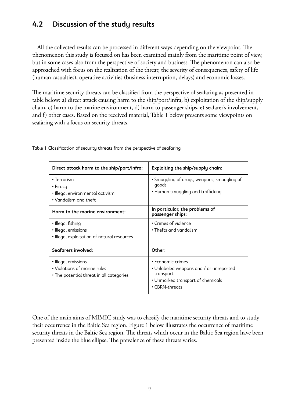### **4.2 Discussion of the study results**

All the collected results can be processed in different ways depending on the viewpoint. The phenomenon this study is focused on has been examined mainly from the maritime point of view, but in some cases also from the perspective of society and business. The phenomenon can also be approached with focus on the realization of the threat; the severity of consequences, safety of life (human casualties), operative activities (business interruption, delays) and economic losses.

The maritime security threats can be classified from the perspective of seafaring as presented in table below: a) direct attack causing harm to the ship/port/infra, b) exploitation of the ship/supply chain, c) harm to the marine environment, d) harm to passenger ships, e) seafarer's involvement, and f) other cases. Based on the received material, Table 1 below presents some viewpoints on seafaring with a focus on security threats.

| Direct attack harm to the ship/port/infra:                                                      | Exploiting the ship/supply chain:                                                                                                |
|-------------------------------------------------------------------------------------------------|----------------------------------------------------------------------------------------------------------------------------------|
| • Terrorism<br>• Piracy<br>• Illegal environmental activism<br>• Vandalism and theft            | • Smuggling of drugs, weapons, smuggling of<br>qoods<br>• Human smuggling and trafficking                                        |
| Harm to the marine environment:                                                                 | In particular, the problems of<br>passenger ships:                                                                               |
| • Illegal fishing<br>• Illegal emissions<br>• Illegal exploitation of natural resources         | • Crimes of violence<br>• Thefts and vandalism                                                                                   |
| Seafarers involved:                                                                             | Other:                                                                                                                           |
| • Illegal emissions<br>• Violations of marine rules<br>• The potential threat in all categories | • Economic crimes<br>• Unlabeled weapons and / or unreported<br>transport<br>• Unmarked transport of chemicals<br>• CBRN-threats |

Table 1 Classification of security threats from the perspective of seafaring

One of the main aims of MIMIC study was to classify the maritime security threats and to study their occurrence in the Baltic Sea region. Figure 1 below illustrates the occurrence of maritime security threats in the Baltic Sea region. The threats which occur in the Baltic Sea region have been presented inside the blue ellipse. The prevalence of these threats varies.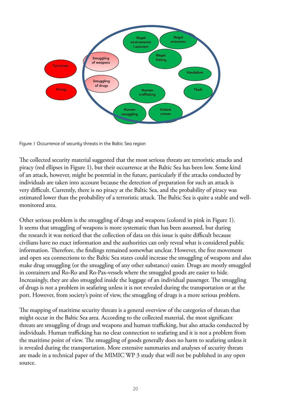

Figure 1 Occurrence of security threats in the Baltic Sea region

The collected security material suggested that the most serious threats are terroristic attacks and piracy (red ellipses in Figure 1), but their occurrence at the Baltic Sea has been low. Some kind of an attack, however, might be potential in the future, particularly if the attacks conducted by individuals are taken into account because the detection of preparation for such an attack is very difficult. Currently, there is no piracy at the Baltic Sea, and the probability of piracy was estimated lower than the probability of a terroristic attack. The Baltic Sea is quite a stable and wellmonitored area.

Other serious problem is the smuggling of drugs and weapons (colored in pink in Figure 1). It seems that smuggling of weapons is more systematic than has been assumed, but during the research it was noticed that the collection of data on this issue is quite difficult because civilians have no exact information and the authorities can only reveal what is considered public information. Therefore, the findings remained somewhat unclear. However, the free movement and open sea connections to the Baltic Sea states could increase the smuggling of weapons and also make drug smuggling (or the smuggling of any other substance) easier. Drugs are mostly smuggled in containers and Ro-Ro and Ro-Pax-vessels where the smuggled goods are easier to hide. Increasingly, they are also smuggled inside the luggage of an individual passenger. The smuggling of drugs is not a problem in seafaring unless it is not revealed during the transportation or at the port. However, from society's point of view, the smuggling of drugs is a more serious problem.

The mapping of maritime security threats is a general overview of the categories of threats that might occur in the Baltic Sea area. According to the collected material, the most significant threats are smuggling of drugs and weapons and human trafficking, but also attacks conducted by individuals. Human trafficking has no clear connection to seafaring and it is not a problem from the maritime point of view. The smuggling of goods generally does no harm to seafaring unless it is revealed during the transportation. More extensive summaries and analyses of security threats are made in a technical paper of the MIMIC WP 3 study that will not be published in any open source.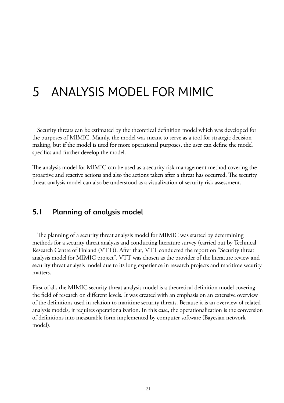# 5 AnalySIS model for MIMIC

Security threats can be estimated by the theoretical definition model which was developed for the purposes of MIMIC. Mainly, the model was meant to serve as a tool for strategic decision making, but if the model is used for more operational purposes, the user can define the model specifics and further develop the model.

The analysis model for MIMIC can be used as a security risk management method covering the proactive and reactive actions and also the actions taken after a threat has occurred. The security threat analysis model can also be understood as a visualization of security risk assessment.

#### **5.1 Planning of analysis model**

The planning of a security threat analysis model for MIMIC was started by determining methods for a security threat analysis and conducting literature survey (carried out by Technical Research Centre of Finland (VTT)). After that, VTT conducted the report on "Security threat analysis model for MIMIC project". VTT was chosen as the provider of the literature review and security threat analysis model due to its long experience in research projects and maritime security matters.

First of all, the MIMIC security threat analysis model is a theoretical definition model covering the field of research on different levels. It was created with an emphasis on an extensive overview of the definitions used in relation to maritime security threats. Because it is an overview of related analysis models, it requires operationalization. In this case, the operationalization is the conversion of definitions into measurable form implemented by computer software (Bayesian network model).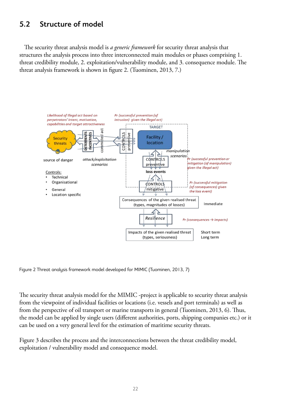### **5.2 Structure of model**

The security threat analysis model is *a generic framework* for security threat analysis that structures the analysis process into three interconnected main modules or phases comprising 1. threat credibility module, 2. exploitation/vulnerability module, and 3. consequence module. The threat analysis framework is shown in figure 2. (Tuominen, 2013, 7.)



Figure 2 Threat analysis framework model developed for MIMIC (Tuominen, 2013, 7)

The security threat analysis model for the MIMIC -project is applicable to security threat analysis from the viewpoint of individual facilities or locations (i.e. vessels and port terminals) as well as from the perspective of oil transport or marine transports in general (Tuominen, 2013, 6). Thus, the model can be applied by single users (different authorities, ports, shipping companies etc.) or it can be used on a very general level for the estimation of maritime security threats.

Figure 3 describes the process and the interconnections between the threat credibility model, exploitation / vulnerability model and consequence model.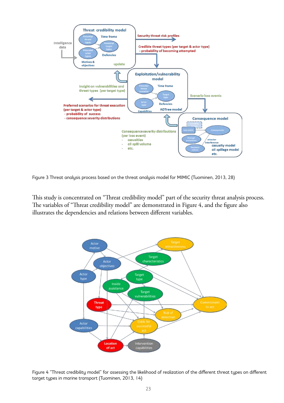

Figure 3 Threat analysis process based on the threat analysis model for MIMIC (Tuominen, 2013, 28)

 $\mathbf{A}$ This study is concentrated on "Threat credibility model" part of the security threat analysis process. The variables of "Threat credibility model" are demonstrated in Figure 4, and the figure also illustrates the dependencies and relations between different variables.



Figure 4 "Threat credibility model" for assessing the likelihood of realization of the different threat types on different target types in marine transport (Tuominen, 2013, 14)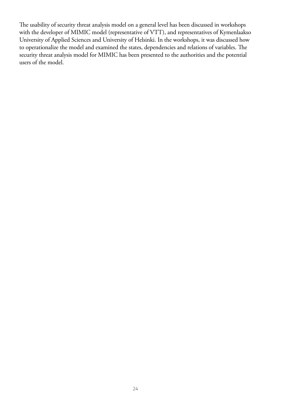The usability of security threat analysis model on a general level has been discussed in workshops with the developer of MIMIC model (representative of VTT), and representatives of Kymenlaakso University of Applied Sciences and University of Helsinki. In the workshops, it was discussed how to operationalize the model and examined the states, dependencies and relations of variables. The security threat analysis model for MIMIC has been presented to the authorities and the potential users of the model.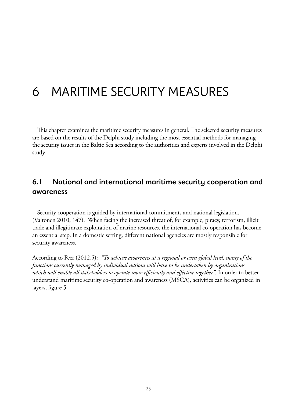# 6 MARITIME security measures

This chapter examines the maritime security measures in general. The selected security measures are based on the results of the Delphi study including the most essential methods for managing the security issues in the Baltic Sea according to the authorities and experts involved in the Delphi study.

### **6.1 National and international maritime security cooperation and awareness**

Security cooperation is guided by international commitments and national legislation. (Valtonen 2010, 147). When facing the increased threat of, for example, piracy, terrorism, illicit trade and illegitimate exploitation of marine resources, the international co-operation has become an essential step. In a domestic setting, different national agencies are mostly responsible for security awareness.

According to Peer (2012,5): *"To achieve awareness at a regional or even global level, many of the functions currently managed by individual nations will have to be undertaken by organizations which will enable all stakeholders to operate more efficiently and effective together".* In order to better understand maritime security co-operation and awareness (MSCA), activities can be organized in layers, figure 5.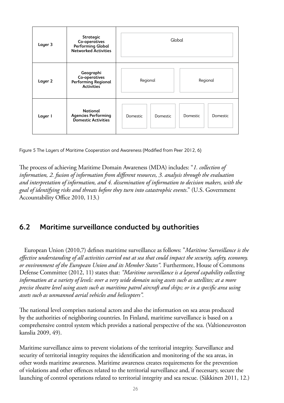| Layer 3 | Strategic<br>Co-operatives<br>Performing Global<br><b>Networked Activities</b> |                      | Global                      |  |
|---------|--------------------------------------------------------------------------------|----------------------|-----------------------------|--|
| Layer 2 | Geographi<br>Co-operatives<br>Performing Regional<br><b>Activities</b>         | Regional             | Regional                    |  |
| Layer I | <b>National</b><br><b>Agencies Performing</b><br>Domestic Activities           | Domestic<br>Domestic | Domestic<br><b>Domestic</b> |  |

Figure 5 The Layers of Maritime Cooperation and Awareness (Modified from Peer 2012, 6)

The process of achieving Maritime Domain Awareness (MDA) includes: "*1. collection of information, 2. fusion of information from different resources, 3. analysis through the evaluation and interpretation of information, and 4. dissemination of information to decision makers, with the goal of identifying risks and threats before they turn into catastrophic events*." (U.S. Government Accountability Office 2010, 113.)

### **6.2 Maritime surveillance conducted by authorities**

European Union (2010,7) defines maritime surveillance as follows: "*Maritime Surveillance is the effective understanding of all activities carried out at sea that could impact the security, safety, economy, or environment of the European Union and its Member States".* Furthermore, House of Commons Defense Committee (2012, 11) states that: *"Maritime surveillance is a layered capability collecting information at a variety of levels: over a very wide domain using assets such as satellites; at a more precise theatre level using assets such as maritime patrol aircraft and ships; or in a specific area using assets such as unmanned aerial vehicles and helicopters".*

The national level comprises national actors and also the information on sea areas produced by the authorities of neighboring countries. In Finland, maritime surveillance is based on a comprehensive control system which provides a national perspective of the sea. (Valtioneuvoston kanslia 2009, 49).

Maritime surveillance aims to prevent violations of the territorial integrity. Surveillance and security of territorial integrity requires the identification and monitoring of the sea areas, in other words maritime awareness. Maritime awareness creates requirements for the prevention of violations and other offences related to the territorial surveillance and, if necessary, secure the launching of control operations related to territorial integrity and sea rescue. (Säkkinen 2011, 12.)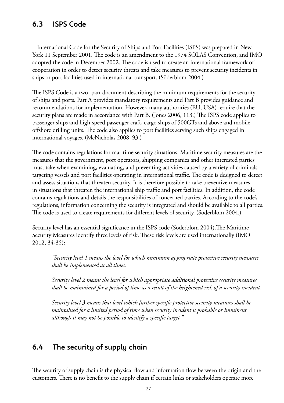### **6.3 ISPS Code**

International Code for the Security of Ships and Port Facilities (ISPS) was prepared in New York 11 September 2001. The code is an amendment to the 1974 SOLAS Convention, and IMO adopted the code in December 2002. The code is used to create an international framework of cooperation in order to detect security threats and take measures to prevent security incidents in ships or port facilities used in international transport. (Söderblom 2004.)

The ISPS Code is a two -part document describing the minimum requirements for the security of ships and ports. Part A provides mandatory requirements and Part B provides guidance and recommendations for implementation. However, many authorities (EU, USA) require that the security plans are made in accordance with Part B. (Jones 2006, 113.) The ISPS code applies to passenger ships and high-speed passenger craft, cargo ships of 500GTs and above and mobile offshore drilling units. The code also applies to port facilities serving such ships engaged in international voyages. (McNicholas 2008, 93.)

The code contains regulations for maritime security situations. Maritime security measures are the measures that the government, port operators, shipping companies and other interested parties must take when examining, evaluating, and preventing activities caused by a variety of criminals targeting vessels and port facilities operating in international traffic. The code is designed to detect and assess situations that threaten security. It is therefore possible to take preventive measures in situations that threaten the international ship traffic and port facilities. In addition, the code contains regulations and details the responsibilities of concerned parties. According to the code's regulations, information concerning the security is integrated and should be available to all parties. The code is used to create requirements for different levels of security. (Söderblom 2004.)

Security level has an essential significance in the ISPS code (Söderblom 2004).The Maritime Security Measures identify three levels of risk. These risk levels are used internationally (IMO 2012, 34-35):

*"Security level 1 means the level for which minimum appropriate protective security measures shall be implemented at all times.*

*Security level 2 means the level for which appropriate additional protective security measures shall be maintained for a period of time as a result of the heightened risk of a security incident.*

*Security level 3 means that level which further specific protective security measures shall be maintained for a limited period of time when security incident is probable or imminent although it may not be possible to identify a specific target."*

### **6.4 The security of supply chain**

The security of supply chain is the physical flow and information flow between the origin and the customers. There is no benefit to the supply chain if certain links or stakeholders operate more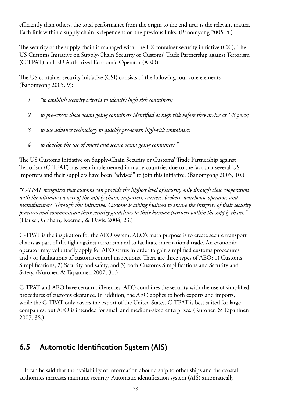efficiently than others; the total performance from the origin to the end user is the relevant matter. Each link within a supply chain is dependent on the previous links. (Banomyong 2005, 4.)

The security of the supply chain is managed with The US container security initiative (CSI), The US Customs Initiative on Supply-Chain Security or Customs' Trade Partnership against Terrorism (C-TPAT) and EU Authorized Economic Operator (AEO).

The US container security initiative (CSI) consists of the following four core elements (Banomyong 2005, 9):

- *1. "to establish security criteria to identify high risk containers;*
- *2. to pre-screen those ocean going containers identified as high risk before they arrive at US ports;*
- *3. to use advance technology to quickly pre-screen high-risk containers;*
- *4. to develop the use of smart and secure ocean going containers."*

The US Customs Initiative on Supply-Chain Security or Customs' Trade Partnership against Terrorism (C-TPAT) has been implemented in many countries due to the fact that several US importers and their suppliers have been "advised" to join this initiative. (Banomyong 2005, 10.)

*"C-TPAT recognizes that customs can provide the highest level of security only through close cooperation with the ultimate owners of the supply chain, importers, carriers, brokers, warehouse operators and manufacturers. Through this initiative, Customs is asking business to ensure the integrity of their security practices and communicate their security guidelines to their business partners within the supply chain."* (Hauser, Graham, Koerner, & Davis. 2004, 23.)

C-TPAT is the inspiration for the AEO system. AEO's main purpose is to create secure transport chains as part of the fight against terrorism and to facilitate international trade. An economic operator may voluntarily apply for AEO status in order to gain simplified customs procedures and / or facilitations of customs control inspections. There are three types of AEO: 1) Customs Simplifications, 2) Security and safety, and 3) both Customs Simplifications and Security and Safety. (Kuronen & Tapaninen 2007, 31.)

C-TPAT and AEO have certain differences. AEO combines the security with the use of simplified procedures of customs clearance. In addition, the AEO applies to both exports and imports, while the C-TPAT only covers the export of the United States. C-TPAT is best suited for large companies, but AEO is intended for small and medium-sized enterprises. (Kuronen & Tapaninen 2007, 38.)

### **6.5 Automatic Identification System (AIS)**

It can be said that the availability of information about a ship to other ships and the coastal authorities increases maritime security. Automatic identification system (AIS) automatically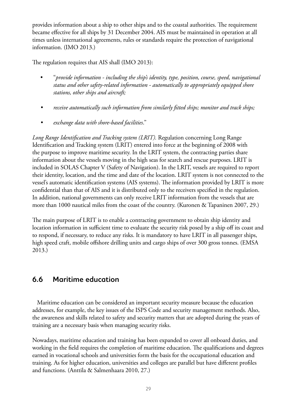provides information about a ship to other ships and to the coastal authorities. The requirement became effective for all ships by 31 December 2004. AIS must be maintained in operation at all times unless international agreements, rules or standards require the protection of navigational information. (IMO 2013.)

The regulation requires that AIS shall (IMO 2013):

- "*provide information including the ship's identity, type, position, course, speed, navigational status and other safety-related information - automatically to appropriately equipped shore stations, other ships and aircraft;*
- *• receive automatically such information from similarly fitted ships; monitor and track ships;*
- *• exchange data with shore-based facilities*."

*Long Range Identification and Tracking system (LRIT).* Regulation concerning Long Range Identification and Tracking system (LRIT) entered into force at the beginning of 2008 with the purpose to improve maritime security. In the LRIT system, the contracting parties share information about the vessels moving in the high seas for search and rescue purposes. LRIT is included in SOLAS Chapter V (Safety of Navigation). In the LRIT, vessels are required to report their identity, location, and the time and date of the location. LRIT system is not connected to the vessel's automatic identification systems (AIS systems). The information provided by LRIT is more confidential than that of AIS and it is distributed only to the receivers specified in the regulation. In addition, national governments can only receive LRIT information from the vessels that are more than 1000 nautical miles from the coast of the country. (Kuronen & Tapaninen 2007, 29.)

The main purpose of LRIT is to enable a contracting government to obtain ship identity and location information in sufficient time to evaluate the security risk posed by a ship off its coast and to respond, if necessary, to reduce any risks. It is mandatory to have LRIT in all passenger ships, high speed craft, mobile offshore drilling units and cargo ships of over 300 gross tonnes. (EMSA 2013.)

### **6.6 Maritime education**

Maritime education can be considered an important security measure because the education addresses, for example, the key issues of the ISPS Code and security management methods. Also, the awareness and skills related to safety and security matters that are adopted during the years of training are a necessary basis when managing security risks.

Nowadays, maritime education and training has been expanded to cover all onboard duties, and working in the field requires the completion of maritime education. The qualifications and degrees earned in vocational schools and universities form the basis for the occupational education and training. As for higher education, universities and colleges are parallel but have different profiles and functions. (Anttila & Salmenhaara 2010, 27.)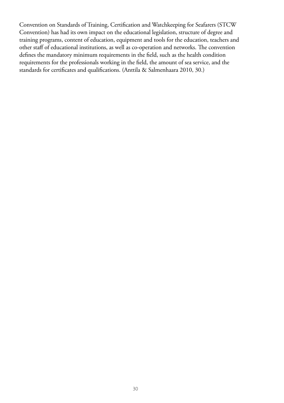Convention on Standards of Training, Certification and Watchkeeping for Seafarers (STCW Convention) has had its own impact on the educational legislation, structure of degree and training programs, content of education, equipment and tools for the education, teachers and other staff of educational institutions, as well as co-operation and networks. The convention defines the mandatory minimum requirements in the field, such as the health condition requirements for the professionals working in the field, the amount of sea service, and the standards for certificates and qualifications. (Anttila & Salmenhaara 2010, 30.)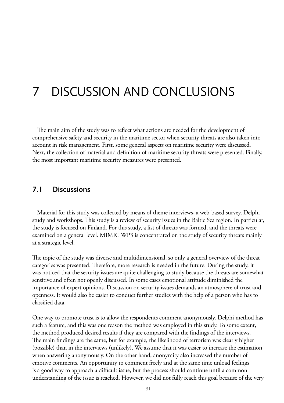# 7 discussion and conclusions

The main aim of the study was to reflect what actions are needed for the development of comprehensive safety and security in the maritime sector when security threats are also taken into account in risk management. First, some general aspects on maritime security were discussed. Next, the collection of material and definition of maritime security threats were presented. Finally, the most important maritime security measures were presented.

#### **7.1 Discussions**

Material for this study was collected by means of theme interviews, a web-based survey, Delphi study and workshops. This study is a review of security issues in the Baltic Sea region. In particular, the study is focused on Finland. For this study, a list of threats was formed, and the threats were examined on a general level. MIMIC WP3 is concentrated on the study of security threats mainly at a strategic level.

The topic of the study was diverse and multidimensional, so only a general overview of the threat categories was presented. Therefore, more research is needed in the future. During the study, it was noticed that the security issues are quite challenging to study because the threats are somewhat sensitive and often not openly discussed. In some cases emotional attitude diminished the importance of expert opinions. Discussion on security issues demands an atmosphere of trust and openness. It would also be easier to conduct further studies with the help of a person who has to classified data.

One way to promote trust is to allow the respondents comment anonymously. Delphi method has such a feature, and this was one reason the method was employed in this study. To some extent, the method produced desired results if they are compared with the findings of the interviews. The main findings are the same, but for example, the likelihood of terrorism was clearly higher (possible) than in the interviews (unlikely). We assume that it was easier to increase the estimation when answering anonymously. On the other hand, anonymity also increased the number of emotive comments. An opportunity to comment freely and at the same time unload feelings is a good way to approach a difficult issue, but the process should continue until a common understanding of the issue is reached. However, we did not fully reach this goal because of the very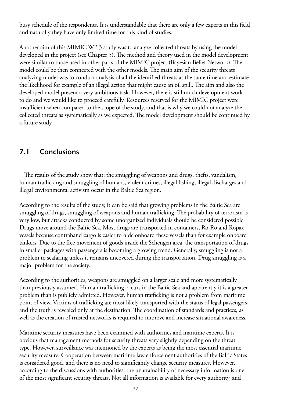busy schedule of the respondents. It is understandable that there are only a few experts in this field, and naturally they have only limited time for this kind of studies.

Another aim of this MIMIC WP 3 study was to analyze collected threats by using the model developed in the project (see Chapter 5). The method and theory used in the model development were similar to those used in other parts of the MIMIC project (Bayesian Belief Network). The model could be then connected with the other models. The main aim of the security threats analyzing model was to conduct analysis of all the identified threats at the same time and estimate the likelihood for example of an illegal action that might cause an oil spill. The aim and also the developed model present a very ambitious task. However, there is still much development work to do and we would like to proceed carefully. Resources reserved for the MIMIC project were insufficient when compared to the scope of the study, and that is why we could not analyze the collected threats as systematically as we expected. The model development should be continued by a future study.

### **7.1 Conclusions**

The results of the study show that: the smuggling of weapons and drugs, thefts, vandalism, human trafficking and smuggling of humans, violent crimes, illegal fishing, illegal discharges and illegal environmental activism occur in the Baltic Sea region.

According to the results of the study, it can be said that growing problems in the Baltic Sea are smuggling of drugs, smuggling of weapons and human trafficking. The probability of terrorism is very low, but attacks conducted by some unorganized individuals should be considered possible. Drugs move around the Baltic Sea. Most drugs are transported in containers, Ro-Ro and Ropax vessels because contraband cargo is easier to hide onboard these vessels than for example onboard tankers. Due to the free movement of goods inside the Schengen area, the transportation of drugs in smaller packages with passengers is becoming a growing trend. Generally, smuggling is not a problem to seafaring unless it remains uncovered during the transportation. Drug smuggling is a major problem for the society.

According to the authorities, weapons are smuggled on a larger scale and more systematically than previously assumed. Human trafficking occurs in the Baltic Sea and apparently it is a greater problem than is publicly admitted. However, human trafficking is not a problem from maritime point of view. Victims of trafficking are most likely transported with the status of legal passengers, and the truth is revealed only at the destination. The coordination of standards and practices, as well as the creation of trusted networks is required to improve and increase situational awareness.

Maritime security measures have been examined with authorities and maritime experts. It is obvious that management methods for security threats vary slightly depending on the threat type. However, surveillance was mentioned by the experts as being the most essential maritime security measure. Cooperation between maritime law enforcement authorities of the Baltic States is considered good, and there is no need to significantly change security measures. However, according to the discussions with authorities, the unattainability of necessary information is one of the most significant security threats. Not all information is available for every authority, and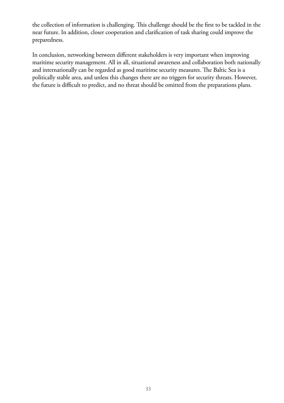the collection of information is challenging. This challenge should be the first to be tackled in the near future. In addition, closer cooperation and clarification of task sharing could improve the preparedness.

In conclusion, networking between different stakeholders is very important when improving maritime security management. All in all, situational awareness and collaboration both nationally and internationally can be regarded as good maritime security measures. The Baltic Sea is a politically stable area, and unless this changes there are no triggers for security threats. However, the future is difficult to predict, and no threat should be omitted from the preparations plans.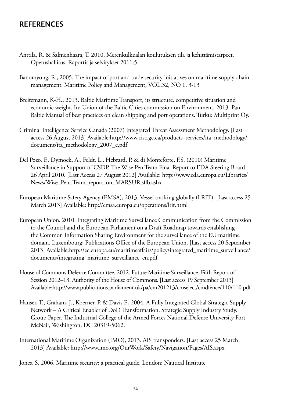### **REFERENCES**

- Anttila, R. & Salmenhaara, T. 2010. Merenkulkualan koulutuksen tila ja kehittämistarpeet. Opetushallitus. Raportit ja selvitykset 2011:5.
- Banomyong, R., 2005. The impact of port and trade security initiatives on maritime supply-chain management. Maritime Policy and Management, VOL.32, NO 1, 3-13
- Breitzmann, K-H., 2013. Baltic Maritime Transport, its structure, competitive situation and economic weight. In: Union of the Baltic Cities commission on Environment, 2013. Pan-Baltic Manual of best practices on clean shipping and port operations. Turku: Multiprint Oy.
- Criminal Intelligence Service Canada (2007) Integrated Threat Assessment Methodology. [Last access 26 August 2013] Available:http://www.cisc.gc.ca/products\_services/ita\_methodology/ document/ita\_methodology\_2007\_e.pdf
- Del Pozo, F., Dymock, A., Feldt, L., Hebrard, P. & di Monteforte, F.S. (2010) Maritime Surveillance in Support of CSDP. The Wise Pen Team Final Report to EDA Steering Board. 26 April 2010. [Last Access 27 August 2012] Available: http://www.eda.europa.eu/Libraries/ News/Wise\_Pen\_Team\_report\_on\_MARSUR.sflb.ashx
- European Maritime Safety Agency (EMSA), 2013. Vessel tracking globally (LRIT). [Last access 25 March 2013] Available: http://emsa.europa.eu/operations/lrit.html
- European Union. 2010. Integrating Maritime Surveillance Communication from the Commission to the Council and the European Parliament on a Draft Roadmap towards establishing the Common Information Sharing Environment for the surveillance of the EU maritime domain. Luxembourg: Publications Office of the European Union. [Last access 20 September 2013] Available:http://ec.europa.eu/maritimeaffairs/policy/integrated\_maritime\_surveillance/ documents/integrating\_maritime\_surveillance\_en.pdf
- House of Commons Defence Committee. 2012. Future Maritime Surveillance. Fifth Report of Session 2012–13. Authority of the House of Commons. [Last access 19 September 2013] Available:http://www.publications.parliament.uk/pa/cm201213/cmselect/cmdfence/110/110.pdf
- Hauser, T., Graham, J., Koerner, P. & Davis F., 2004. A Fully Integrated Global Strategic Supply Network – A Critical Enabler of DoD Transformation. Strategic Supply Industry Study. Group Paper. The Industrial College of the Armed Forces National Defense University Fort McNair, Washington, DC 20319-5062.
- International Maritime Organization (IMO), 2013. AIS transponders. [Last access 25 March 2013] Available: http://www.imo.org/OurWork/Safety/Navigation/Pages/AIS.aspx

Jones, S. 2006. Maritime security: a practical guide. London: Nautical Institute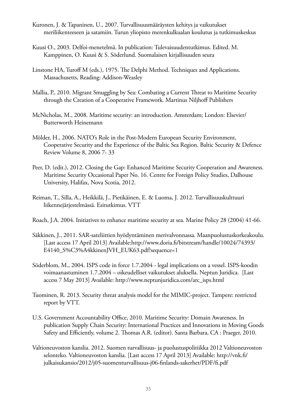- Kuronen, J. & Tapaninen, U., 2007. Turvallisuusmääräysten kehitys ja vaikutukset meriliikenteeseen ja satamiin. Turun yliopisto merenkulkualan koulutus ja tutkimuskeskus
- Kuusi O., 2003. Delfoi-menetelmä. In publication: Tulevaisuudentutkimus. Edited. M. Kamppinen, O. Kuusi & S. Söderlund. Suomalaisen kirjallisuuden seura
- Linstone HA, Turoff M (eds.), 1975. The Delphi Method. Techniques and Applications. Massachusetts, Reading: Addison-Weasley
- Mallia, P., 2010. Migrant Smuggling by Sea: Combating a Current Threat to Maritime Security through the Creation of a Cooperative Framework. Martinus Niljhoff Publishers
- McNicholas, M., 2008. Maritime security: an introduction. Amsterdam; London: Elsevier/ Butterworth Heinemann
- Mölder, H., 2006. NATO's Role in the Post-Modern European Security Environment, Cooperative Security and the Experience of the Baltic Sea Region. Baltic Security & Defence Review Volume 8, 2006 7- 33
- Peer, D. (edit.), 2012. Closing the Gap: Enhanced Maritime Security Cooperation and Awareness. Maritime Security Occasional Paper No. 16. Centre for Foreign Policy Studies, Dalhouse University, Halifax, Nova Scotia, 2012.
- Reiman, T., Silla, A., Heikkilä, J., Pietikäinen, E. & Luoma, J. 2012. Turvallisuuskulttuuri liikennejärjestelmässä. Esitutkimus. VTT
- Roach, J.A. 2004. Initiatives to enhance maritime security at sea. Marine Policy 28 (2004) 41-66.
- Säkkinen, J., 2011. SAR-sateliittien hyödyntäminen merivalvonnassa. Maanpuolustuskorkeakoulu. [Last access 17 April 2013] Available:http://www.doria.fi/bitstream/handle/10024/74393/ E4140\_S%C3%A4kkinenJVH\_EUK63.pdf?sequence=1
- Söderblom, M., 2004. ISPS code in force 1.7.2004 legal implications on a vessel. ISPS-koodin voimaanastuminen 1.7.2004 – oikeudelliset vaikutukset aluksella. Neptun Juridica. [Last access 7 May 2013] Available: http://www.neptunjuridica.com/arc\_isps.html
- Tuominen, R. 2013. Security threat analysis model for the MIMIC-project. Tampere: restricted report by VTT.
- U.S. Government Accountability Office, 2010. Maritime Security: Domain Awareness. In publication Supply Chain Security: International Practices and Innovations in Moving Goods Safety and Efficiently, volume 2. Thomas A.R. (editor). Santa Barbara, CA : Praeger, 2010.
- Valtioneuvoston kanslia. 2012. Suomen turvallisuus- ja puolustuspolitiikka 2012 Valtioneuvoston selonteko. Valtioneuvoston kanslia. [Last access 17 April 2013] Available: http://vnk.fi/ julkaisukansio/2012/j05-suomenturvallisuus-j06-finlands-sakerhet/PDF/fi.pdf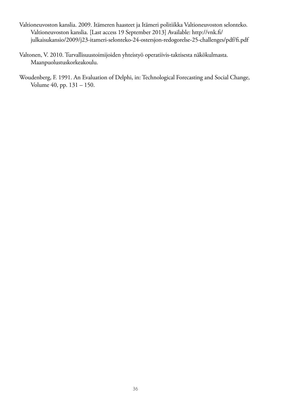- Valtioneuvoston kanslia. 2009. Itämeren haasteet ja Itämeri politiikka Valtioneuvoston selonteko. Valtioneuvoston kanslia. [Last access 19 September 2013] Available: http://vnk.fi/ julkaisukansio/2009/j23-itameri-selonteko-24-ostersjon-redogorelse-25-challenges/pdf/fi.pdf
- Valtonen, V. 2010. Turvallisuustoimijoiden yhteistyö operatiivis-taktisesta näkökulmasta. Maanpuolustuskorkeakoulu.
- Woudenberg, F. 1991. An Evaluation of Delphi, in: Technological Forecasting and Social Change, Volume 40, pp. 131 – 150.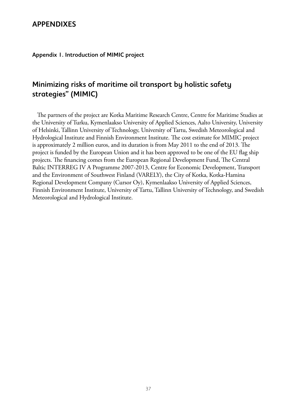#### **APPENDIXES**

**Appendix 1. Introduction of MIMIC project**

### **Minimizing risks of maritime oil transport by holistic safety strategies" (MIMIC)**

The partners of the project are Kotka Maritime Research Centre, Centre for Maritime Studies at the University of Turku, Kymenlaakso University of Applied Sciences, Aalto University, University of Helsinki, Tallinn University of Technology, University of Tartu, Swedish Meteorological and Hydrological Institute and Finnish Environment Institute. The cost estimate for MIMIC project is approximately 2 million euros, and its duration is from May 2011 to the end of 2013. The project is funded by the European Union and it has been approved to be one of the EU flag ship projects. The financing comes from the European Regional Development Fund, The Central Baltic INTERREG IV A Programme 2007-2013, Centre for Economic Development, Transport and the Environment of Southwest Finland (VARELY), the City of Kotka, Kotka-Hamina Regional Development Company (Cursor Oy), Kymenlaakso University of Applied Sciences, Finnish Environment Institute, University of Tartu, Tallinn University of Technology, and Swedish Meteorological and Hydrological Institute.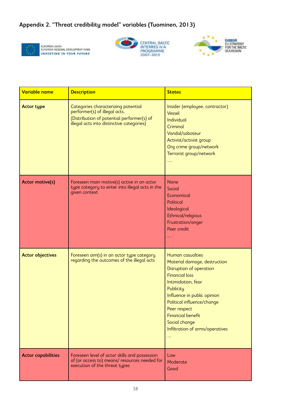#### **Appendix 2. "Threat credibility model" variables (Tuominen, 2013)**



EUROPEAN UNIÓN<br>EUROPEAN REGIONAL DEVELOPMENT FUND<br>INVESTING IN YOUR FUTURE





| Variable name             | <b>Description</b>                                                                                                                                              | <b>States</b>                                                                                                                                                                                                                                                                                            |
|---------------------------|-----------------------------------------------------------------------------------------------------------------------------------------------------------------|----------------------------------------------------------------------------------------------------------------------------------------------------------------------------------------------------------------------------------------------------------------------------------------------------------|
| <b>Actor type</b>         | Categories characterizing potential<br>performer(s) of illegal acts.<br>(Distribution of potential performer(s) of<br>illegal acts into distinctive categories) | Insider (employee, contractor)<br>Vessel<br><b>Individual</b><br>Criminal<br>Vandal/saboteur<br>Activist/activist group<br>Org crime group/network<br>Terrorist group/network<br>$\ldots$                                                                                                                |
| <b>Actor motive(s)</b>    | Foreseen main motive(s) active in an actor<br>type category to enter into illegal acts in the<br>given context                                                  | <b>None</b><br>Social<br>Economical<br><b>Political</b><br>Ideological<br>Ethnical/religious<br>Frustration/anger<br>Peer credit.<br>222                                                                                                                                                                 |
| <b>Actor objectives</b>   | Foreseen aim(s) in an actor type category<br>regarding the outcomes of the illegal acts                                                                         | Human casualties<br>Material damage, destruction<br>Disruption of operation<br><b>Financial loss</b><br>Intimidation, fear<br>Publicity<br>Influence in public opinion<br>Political influence/change<br>Peer respect<br><b>Financial benefit</b><br>Social change<br>Infiltration of arms/operatives<br> |
| <b>Actor capabilities</b> | Foreseen level of actor skills and possession<br>of (or access to) means/resources needed for<br>execution of the threat types                                  | Low<br>Moderate<br>Good                                                                                                                                                                                                                                                                                  |

Cyber attack

transportation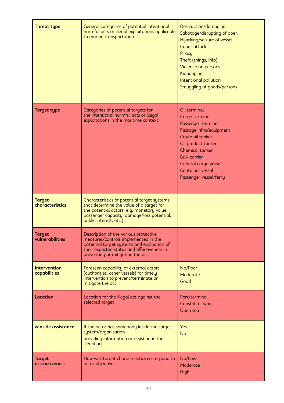| <b>Threat type</b>                     | General categories of potential intentional<br>harmful acts or illegal exploitations applicable<br>to marine transportation                                                                                    | Destruction/damaging<br>Sabotage/disrupting of oper.<br>Hijacking/seizure of vessel<br>Cyber attack<br>Piracy<br>Theft (things, info)<br>Violence on persons<br>Kidnapping<br>Intentional pollution<br>Smuggling of goods/persons<br>$\ddotsc$              |
|----------------------------------------|----------------------------------------------------------------------------------------------------------------------------------------------------------------------------------------------------------------|-------------------------------------------------------------------------------------------------------------------------------------------------------------------------------------------------------------------------------------------------------------|
| <b>Target type</b>                     | Categories of potential targets for<br>the intentional harmful acts or illegal<br>exploitations in the maritime context                                                                                        | Oil terminal<br>Cargo terminal<br>Passenger terminal<br>Passage infra/equipment<br>Crude oil tanker<br>Oil product tanker<br><b>Chemical tanker</b><br><b>Bulk carrier</b><br>General cargo vessel<br><b>Container vessel</b><br>Passenger vessel/ferry<br> |
| <b>Target</b><br>characteristics       | Characteristics of potential target systems<br>that determine the value of a target for<br>the potential actors; e.g. monetary value,<br>passenger capacity, damage/loss potential,<br>public interest, etc.)  |                                                                                                                                                                                                                                                             |
| <b>Target</b><br>vulnerabilities       | Description of the various protective<br>measures/controls implemented in the<br>potential target systems and evaluation of<br>their expected status and effectiveness in<br>preventing or mitigating the act. |                                                                                                                                                                                                                                                             |
| <b>Intervention</b><br>capabilities    | Foreseen capability of external actors<br>(authorities, other vessels) for timely<br>intervention to prevent/terminate or<br>mitigate the act.                                                                 | No/Poor<br>Moderate<br>Good                                                                                                                                                                                                                                 |
| Location                               | Location for the illegal act against the<br>selected target                                                                                                                                                    | Port/terminal<br>Coastal fairway<br>Open sea                                                                                                                                                                                                                |
| winside assistance                     | If the actor has somebody inside the target<br>system/organisation<br>providing information or assisting in the<br>illegal act.                                                                                | <b>Yes</b><br><b>No</b>                                                                                                                                                                                                                                     |
| <b>Target</b><br><b>attractiveness</b> | How well target characteristics correspond to<br>actor objectives.                                                                                                                                             | No/Low<br>Moderate<br>High                                                                                                                                                                                                                                  |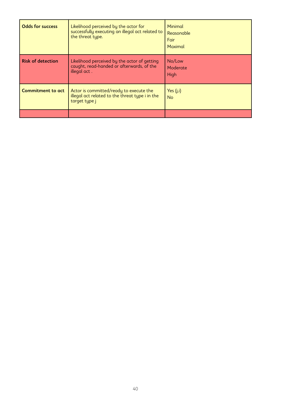| <b>Odds for success</b>  | Likelihood perceived by the actor for<br>successfully executing an illegal act related to<br>the threat tupe. | Minimal<br>Reasonable<br><b>Fair</b><br>Maximal |
|--------------------------|---------------------------------------------------------------------------------------------------------------|-------------------------------------------------|
| <b>Risk of detection</b> | Likelihood perceived by the actor of getting<br>caught, read-handed or afterwards, of the<br>illegal act.     | No/Low<br>Moderate<br>High                      |
| <b>Commitment to act</b> | Actor is committed/ready to execute the<br>illegal act related to the threat type i in the<br>target type j   | Yes $(j,i)$<br><b>No</b>                        |
|                          |                                                                                                               |                                                 |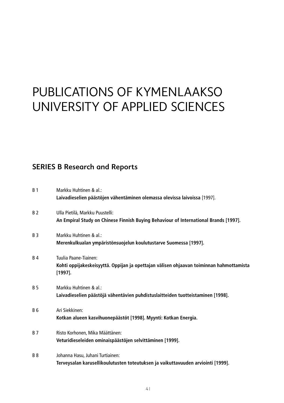# Publications of Kymenlaakso University of Applied Sciences

### **SERIES B Research and Reports**

| <b>B</b> 1 | Markku Huhtinen & al.:<br>Laivadieselien päästöjen vähentäminen olemassa olevissa laivoissa [1997].                            |
|------------|--------------------------------------------------------------------------------------------------------------------------------|
| <b>B2</b>  | Ulla Pietilä, Markku Puustelli:<br>An Empiral Study on Chinese Finnish Buying Behaviour of International Brands [1997].        |
| <b>B</b> 3 | Markku Huhtinen & al.:<br>Merenkulkualan ympäristönsuojelun koulutustarve Suomessa [1997].                                     |
| <b>B4</b>  | Tuulia Paane-Tiainen:<br>Kohti oppijakeskeisyyttä. Oppijan ja opettajan välisen ohjaavan toiminnan hahmottamista<br>$[1997]$ . |
| <b>B</b> 5 | Markku Huhtinen & al.:<br>Laivadieselien päästöjä vähentävien puhdistuslaitteiden tuotteistaminen [1998].                      |
| B 6        | Ari Siekkinen:<br>Kotkan alueen kasvihuonepäästöt [1998]. Myynti: Kotkan Energia.                                              |
| <b>B</b> 7 | Risto Korhonen, Mika Määttänen:<br>Veturidieseleiden ominaispäästöjen selvittäminen [1999].                                    |
| <b>B</b> 8 | Johanna Hasu, Juhani Turtiainen:<br>Terveysalan karusellikoulutusten toteutuksen ja vaikuttavuuden arviointi [1999].           |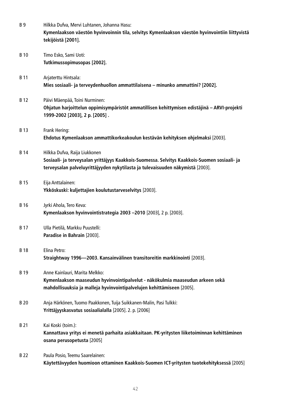| <b>B</b> <sub>9</sub> | Hilkka Dufva, Mervi Luhtanen, Johanna Hasu:<br>Kymenlaakson väestön hyvinvoinnin tila, selvitys Kymenlaakson väestön hyvinvointiin liittyvistä<br>tekijöistä [2001].                                            |
|-----------------------|-----------------------------------------------------------------------------------------------------------------------------------------------------------------------------------------------------------------|
| <b>B</b> 10           | Timo Esko, Sami Uoti:<br>Tutkimussopimusopas [2002].                                                                                                                                                            |
| <b>B</b> 11           | Arjaterttu Hintsala:<br>Mies sosiaali- ja terveydenhuollon ammattilaisena - minunko ammattini? [2002].                                                                                                          |
| <b>B</b> 12           | Päivi Mäenpää, Toini Nurminen:<br>Ohjatun harjoittelun oppimisympäristöt ammatillisen kehittymisen edistäjinä - ARVI-projekti<br>1999-2002 [2003], 2 p. [2005].                                                 |
| B 13                  | Frank Hering:<br>Ehdotus Kymenlaakson ammattikorkeakoulun kestävän kehityksen ohjelmaksi [2003].                                                                                                                |
| <b>B</b> 14           | Hilkka Dufva, Raija Liukkonen<br>Sosiaali- ja terveysalan yrittäjyys Kaakkois-Suomessa. Selvitys Kaakkois-Suomen sosiaali- ja<br>terveysalan palveluyrittäjyyden nykytilasta ja tulevaisuuden näkymistä [2003]. |
| <b>B15</b>            | Eija Anttalainen:<br>Ykköskuski: kuljettajien koulutustarveselvitys [2003].                                                                                                                                     |
| B 16                  | Jyrki Ahola, Tero Keva:<br>Kymenlaakson hyvinvointistrategia 2003 -2010 [2003], 2 p. [2003].                                                                                                                    |
| <b>B17</b>            | Ulla Pietilä, Markku Puustelli:<br>Paradise in Bahrain [2003].                                                                                                                                                  |
| <b>B</b> 18           | Elina Petro:<br>Straightway 1996-2003. Kansainvälinen transitoreitin markkinointi [2003].                                                                                                                       |
| <b>B</b> 19           | Anne Kainlauri, Marita Melkko:<br>Kymenlaakson maaseudun hyvinvointipalvelut - näkökulmia maaseudun arkeen sekä<br>mahdollisuuksia ja malleja hyvinvointipalvelujen kehittämiseen [2005].                       |
| B 20                  | Anja Härkönen, Tuomo Paakkonen, Tuija Suikkanen-Malin, Pasi Tulkki:<br>Yrittäjyyskasvatus sosiaalialalla [2005]. 2. p. [2006]                                                                                   |
| B 21                  | Kai Koski (toim.):<br>Kannattava yritys ei menetä parhaita asiakkaitaan. PK-yritysten liiketoiminnan kehittäminen<br>osana perusopetusta [2005]                                                                 |
| B 22                  | Paula Posio, Teemu Saarelainen:<br>Käytettävyyden huomioon ottaminen Kaakkois-Suomen ICT-yritysten tuotekehityksessä [2005]                                                                                     |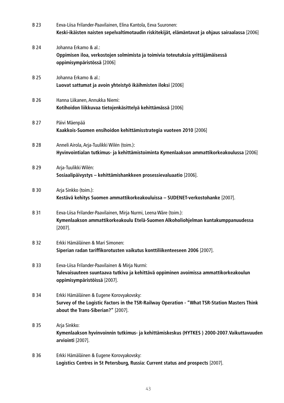| <b>B23</b>  | Eeva-Liisa Frilander-Paavilainen, Elina Kantola, Eeva Suuronen:<br>Keski-ikäisten naisten sepelvaltimotaudin riskitekijät, elämäntavat ja ohjaus sairaalassa [2006]             |
|-------------|---------------------------------------------------------------------------------------------------------------------------------------------------------------------------------|
| B 24        | Johanna Erkamo & al.:<br>Oppimisen iloa, verkostojen solmimista ja toimivia toteutuksia yrittäjämäisessä<br>oppimisympäristössä [2006]                                          |
| B 25        | Johanna Erkamo & al.:<br>Luovat sattumat ja avoin yhteistyö ikäihmisten iloksi [2006]                                                                                           |
| B 26        | Hanna Liikanen, Annukka Niemi:<br>Kotihoidon liikkuvaa tietojenkäsittelyä kehittämässä [2006]                                                                                   |
| B 27        | Päivi Mäenpää<br>Kaakkois-Suomen ensihoidon kehittämisstrategia vuoteen 2010 [2006]                                                                                             |
| <b>B28</b>  | Anneli Airola, Arja-Tuulikki Wilén (toim.):<br>Hyvinvointialan tutkimus- ja kehittämistoiminta Kymenlaakson ammattikorkeakoulussa [2006]                                        |
| B 29        | Arja-Tuulikki Wilén:<br>Sosiaalipäivystys – kehittämishankkeen prosessievaluaatio [2006].                                                                                       |
| B 30        | Arja Sinkko (toim.):<br>Kestävä kehitys Suomen ammattikorkeakouluissa - SUDENET-verkostohanke [2007].                                                                           |
| <b>B31</b>  | Eeva-Liisa Frilander-Paavilainen, Mirja Nurmi, Leena Wäre (toim.):<br>Kymenlaakson ammattikorkeakoulu Etelä-Suomen Alkoholiohjelman kuntakumppanuudessa<br>$[2007]$ .           |
| B 32        | Erkki Hämäläinen & Mari Simonen:<br>Siperian radan tariffikorotusten vaikutus konttiliikenteeseen 2006 [2007].                                                                  |
| B 33        | Eeva-Liisa Frilander-Paavilainen & Mirja Nurmi:<br>Tulevaisuuteen suuntaava tutkiva ja kehittävä oppiminen avoimissa ammattikorkeakoulun<br>oppimisympäristöissä [2007].        |
| <b>B</b> 34 | Erkki Hämäläinen & Eugene Korovyakovsky:<br>Survey of the Logistic Factors in the TSR-Railway Operation - "What TSR-Station Masters Think<br>about the Trans-Siberian?" [2007]. |
| B 35        | Arja Sinkko:<br>Kymenlaakson hyvinvoinnin tutkimus- ja kehittämiskeskus (HYTKES) 2000-2007. Vaikuttavuuden<br>arviointi [2007].                                                 |
| <b>B36</b>  | Erkki Hämäläinen & Eugene Korovyakovsky:<br>Logistics Centres in St Petersburg, Russia: Current status and prospects [2007].                                                    |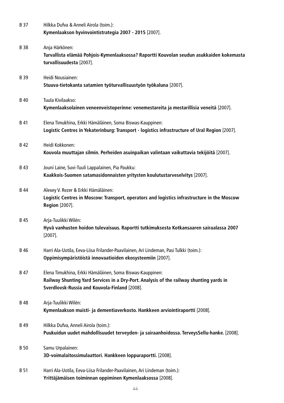| <b>B37</b>  | Hilkka Dufva & Anneli Airola (toim.):<br>Kymenlaakson hyvinvointistrategia 2007 - 2015 [2007].                                                                                                        |
|-------------|-------------------------------------------------------------------------------------------------------------------------------------------------------------------------------------------------------|
| <b>B38</b>  | Anja Härkönen:<br>Turvallista elämää Pohjois-Kymenlaaksossa? Raportti Kouvolan seudun asukkaiden kokemasta<br>turvallisuudesta [2007].                                                                |
| B 39        | Heidi Nousiainen:<br>Stuuva-tietokanta satamien työturvallisuustyön työkaluna [2007].                                                                                                                 |
| <b>B</b> 40 | Tuula Kivilaakso:<br>Kymenlaaksolainen veneenveistoperinne: venemestareita ja mestarillisia veneitä [2007].                                                                                           |
| B 41        | Elena Timukhina, Erkki Hämäläinen, Soma Biswas-Kauppinen:<br>Logistic Centres in Yekaterinburg: Transport - logistics infrastructure of Ural Region [2007].                                           |
| B 42        | Heidi Kokkonen:<br>Kouvola muuttajan silmin. Perheiden asuinpaikan valintaan vaikuttavia tekijöitä [2007].                                                                                            |
| <b>B</b> 43 | Jouni Laine, Suvi-Tuuli Lappalainen, Pia Paukku:<br>Kaakkois-Suomen satamasidonnaisten yritysten koulutustarveselvitys [2007].                                                                        |
| B 44        | Alexey V. Rezer & Erkki Hämäläinen:<br>Logistic Centres in Moscow: Transport, operators and logistics infrastructure in the Moscow<br><b>Region</b> [2007].                                           |
| B 45        | Arja-Tuulikki Wilén:<br>Hyvä vanhusten hoidon tulevaisuus. Raportti tutkimuksesta Kotkansaaren sairaalassa 2007<br>$[2007]$ .                                                                         |
| B 46        | Harri Ala-Uotila, Eeva-Liisa Frilander-Paavilainen, Ari Lindeman, Pasi Tulkki (toim.):<br>Oppimisympäristöistä innovaatioiden ekosysteemiin [2007].                                                   |
| B 47        | Elena Timukhina, Erkki Hämäläinen, Soma Biswas-Kauppinen:<br>Railway Shunting Yard Services in a Dry-Port. Analysis of the railway shunting yards in<br>Sverdlovsk-Russia and Kouvola-Finland [2008]. |
| B 48        | Arja-Tuulikki Wilén:<br>Kymenlaakson muisti- ja dementiaverkosto. Hankkeen arviointiraportti [2008].                                                                                                  |
| B 49        | Hilkka Dufva, Anneli Airola (toim.):<br>Puukuidun uudet mahdollisuudet terveyden- ja sairaanhoidossa. TerveysSellu-hanke. [2008].                                                                     |
| <b>B</b> 50 | Samu Urpalainen:<br>3D-voimalaitossimulaattori. Hankkeen loppuraportti. [2008].                                                                                                                       |
| <b>B</b> 51 | Harri Ala-Uotila, Eeva-Liisa Frilander-Paavilainen, Ari Lindeman (toim.):<br>Yrittäjämäisen toiminnan oppiminen Kymenlaaksossa [2008].                                                                |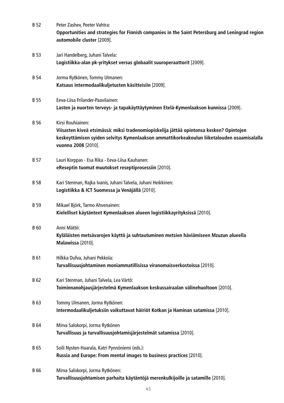| B 52        | Peter Zashev, Peeter Vahtra:                                                                                                                                                                                  |
|-------------|---------------------------------------------------------------------------------------------------------------------------------------------------------------------------------------------------------------|
|             | Opportunities and strategies for Finnish companies in the Saint Petersburg and Leningrad region<br>automobile cluster [2009].                                                                                 |
| B 53        | Jari Handelberg, Juhani Talvela:                                                                                                                                                                              |
|             | Logistiikka-alan pk-yritykset versus globaalit suuroperaattorit [2009].                                                                                                                                       |
| <b>B</b> 54 | Jorma Rytkönen, Tommy Ulmanen:                                                                                                                                                                                |
|             | Katsaus intermodaalikuljetusten käsitteisiin [2009].                                                                                                                                                          |
| B 55        | Eeva-Liisa Frilander-Paavilainen:                                                                                                                                                                             |
|             | Lasten ja nuorten terveys- ja tapakäyttäytyminen Etelä-Kymenlaakson kunnissa [2009].                                                                                                                          |
| B 56        | Kirsi Rouhiainen:                                                                                                                                                                                             |
|             | Viisasten kiveä etsimässä: miksi tradenomiopiskelija jättää opintonsa kesken? Opintojen<br>keskeyttämisen syiden selvitys Kymenlaakson ammattikorkeakoulun liiketalouden osaamisalalla<br>vuonna 2008 [2010]. |
| <b>B</b> 57 | Lauri Korppas - Esa Rika - Eeva-Liisa Kauhanen:                                                                                                                                                               |
|             | eReseptin tuomat muutokset reseptiprosessiin [2010].                                                                                                                                                          |
| B 58        | Kari Stenman, Rajka Ivanis, Juhani Talvela, Juhani Heikkinen:                                                                                                                                                 |
|             | Logistiikka & ICT Suomessa ja Venäjällä [2010].                                                                                                                                                               |
| B 59        | Mikael Björk, Tarmo Ahvenainen:                                                                                                                                                                               |
|             | Kielelliset käytänteet Kymenlaakson alueen logistiikkayrityksissä [2010].                                                                                                                                     |
| <b>B</b> 60 | Anni Mättö:                                                                                                                                                                                                   |
|             | Kyläläisten metsävarojen käyttö ja suhtautuminen metsien häviämiseen Mzuzun alueella<br>Malawissa [2010].                                                                                                     |
| B 61        | Hilkka Dufva, Juhani Pekkola:                                                                                                                                                                                 |
|             | Turvallisuusjohtaminen moniammatillisissa viranomaisverkostoissa [2010].                                                                                                                                      |
| B 62        | Kari Stenman, Juhani Talvela, Lea Värtö:                                                                                                                                                                      |
|             | Toiminnanohjausjärjestelmä Kymenlaakson keskussairaalan välinehuoltoon [2010].                                                                                                                                |
| <b>B63</b>  | Tommy Ulmanen, Jorma Rytkönen:                                                                                                                                                                                |
|             | Intermodaalikuljetuksiin vaikuttavat häiriöt Kotkan ja Haminan satamissa [2010].                                                                                                                              |
| <b>B</b> 64 | Mirva Salokorpi, Jorma Rytkönen                                                                                                                                                                               |
|             | Turvallisuus ja turvallisuusjohtamisjärjestelmät satamissa [2010].                                                                                                                                            |
| B 65        | Soili Nysten-Haarala, Katri Pynnöniemi (eds.):                                                                                                                                                                |
|             | Russia and Europe: From mental images to business practices [2010].                                                                                                                                           |
| B 66        | Mirva Salokorpi, Jorma Rytkönen:                                                                                                                                                                              |
|             | Turvallisuusjohtamisen parhaita käytäntöjä merenkulkijoille ja satamille [2010].                                                                                                                              |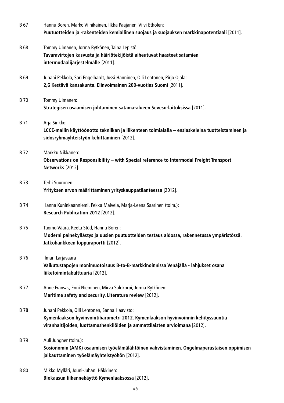| B 67        | Hannu Boren, Marko Viinikainen, Ilkka Paajanen, Viivi Etholen:<br>Puutuotteiden ja -rakenteiden kemiallinen suojaus ja suojauksen markkinapotentiaali [2011].                                                     |
|-------------|-------------------------------------------------------------------------------------------------------------------------------------------------------------------------------------------------------------------|
| <b>B68</b>  | Tommy Ulmanen, Jorma Rytkönen, Taina Lepistö:<br>Tavaravirtojen kasvusta ja häiriötekijöistä aiheutuvat haasteet satamien<br>intermodaalijärjestelmälle [2011].                                                   |
| B 69        | Juhani Pekkola, Sari Engelhardt, Jussi Hänninen, Olli Lehtonen, Pirjo Ojala:<br>2,6 Kestävä kansakunta. Elinvoimainen 200-vuotias Suomi [2011].                                                                   |
| <b>B</b> 70 | Tommy Ulmanen:<br>Strategisen osaamisen johtaminen satama-alueen Seveso-laitoksissa [2011].                                                                                                                       |
| B 71        | Arja Sinkko:<br>LCCE-mallin käyttöönotto tekniikan ja liikenteen toimialalla – ensiaskeleina tuotteistaminen ja<br>sidosryhmäyhteistyön kehittäminen [2012].                                                      |
| B 72        | Markku Nikkanen:<br>Observations on Responsibility - with Special reference to Intermodal Freight Transport<br>Networks [2012].                                                                                   |
| <b>B</b> 73 | Terhi Suuronen:<br>Yrityksen arvon määrittäminen yrityskauppatilanteessa [2012].                                                                                                                                  |
| B 74        | Hanna Kuninkaanniemi, Pekka Malvela, Marja-Leena Saarinen (toim.):<br>Research Publication 2012 [2012].                                                                                                           |
| B 75        | Tuomo Väärä, Reeta Stöd, Hannu Boren:<br>Moderni painekyllästys ja uusien puutuotteiden testaus aidossa, rakennetussa ympäristössä.<br>Jatkohankkeen loppuraportti [2012].                                        |
| B 76        | Ilmari Larjavaara<br>Vaikutustapojen monimuotoisuus B-to-B-markkinoinnissa Venäjällä - lahjukset osana<br>liiketoimintakulttuuria [2012].                                                                         |
| <b>B</b> 77 | Anne Fransas, Enni Nieminen, Mirva Salokorpi, Jorma Rytkönen:<br>Maritime safety and security. Literature review [2012].                                                                                          |
| B 78        | Juhani Pekkola, Olli Lehtonen, Sanna Haavisto:<br>Kymenlaakson hyvinvointibarometri 2012. Kymenlaakson hyvinvoinnin kehityssuuntia<br>viranhaltijoiden, luottamushenkilöiden ja ammattilaisten arvioimana [2012]. |
| B 79        | Auli Jungner (toim.):<br>Sosionomin (AMK) osaamisen työelämälähtöinen vahvistaminen. Ongelmaperustaisen oppimisen<br>jalkauttaminen työelämäyhteistyöhön [2012].                                                  |
| <b>B</b> 80 | Mikko Mylläri, Jouni-Juhani Häkkinen:<br>Biokaasun liikennekäyttö Kymenlaaksossa [2012].                                                                                                                          |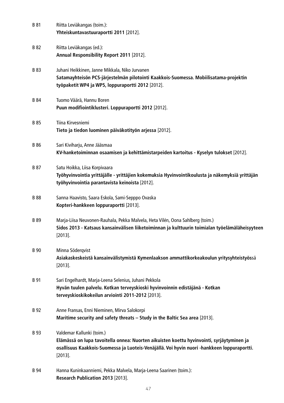| B 81        | Riitta Leviäkangas (toim.):<br>Yhteiskuntavastuuraportti 2011 [2012].                                                                                                                                                               |
|-------------|-------------------------------------------------------------------------------------------------------------------------------------------------------------------------------------------------------------------------------------|
| <b>B</b> 82 | Riitta Leviäkangas (ed.):<br>Annual Responsibility Report 2011 [2012].                                                                                                                                                              |
| <b>B</b> 83 | Juhani Heikkinen, Janne Mikkala, Niko Jurvanen<br>Satamayhteisön PCS-järjestelmän pilotointi Kaakkois-Suomessa. Mobiilisatama-projektin<br>työpaketit WP4 ja WP5, loppuraportti 2012 [2012].                                        |
| <b>B</b> 84 | Tuomo Väärä, Hannu Boren<br>Puun modifiointiklusteri. Loppuraportti 2012 [2012].                                                                                                                                                    |
| B 85        | Tiina Kirvesniemi<br>Tieto ja tiedon luominen päiväkotityön arjessa [2012].                                                                                                                                                         |
| <b>B</b> 86 | Sari Kiviharju, Anne Jääsmaa<br>KV-hanketoiminnan osaamisen ja kehittämistarpeiden kartoitus - Kyselyn tulokset [2012].                                                                                                             |
| B 87        | Satu Hoikka, Liisa Korpivaara<br>Työhyvinvointia yrittäjälle - yrittäjien kokemuksia Hyvinvointikoulusta ja näkemyksiä yrittäjän<br>työhyvinvointia parantavista keinoista [2012].                                                  |
| <b>B88</b>  | Sanna Haavisto, Saara Eskola, Sami-Sepppo Ovaska<br>Kopteri-hankkeen loppuraportti [2013].                                                                                                                                          |
| <b>B</b> 89 | Marja-Liisa Neuvonen-Rauhala, Pekka Malvela, Heta Vilén, Oona Sahlberg (toim.)<br>Sidos 2013 - Katsaus kansainvälisen liiketoiminnan ja kulttuurin toimialan työelämäläheisyyteen<br>$[2013]$ .                                     |
| <b>B</b> 90 | Minna Söderqvist<br>Asiakaskeskeistä kansainvälistymistä Kymenlaakson ammattikorkeakoulun yritysyhteistyössä<br>$[2013]$ .                                                                                                          |
| B 91        | Sari Engelhardt, Marja-Leena Selenius, Juhani Pekkola<br>Hyvän tuulen palvelu. Kotkan terveyskioski hyvinvoinnin edistäjänä - Kotkan<br>terveyskioskikokeilun arviointi 2011-2012 [2013].                                           |
| B 92        | Anne Fransas, Enni Nieminen, Mirva Salokorpi<br>Maritime security and safety threats - Study in the Baltic Sea area [2013].                                                                                                         |
| B 93        | Valdemar Kallunki (toim.)<br>Elämässä on lupa tavoitella onnea: Nuorten aikuisten koettu hyvinvointi, syrjäytyminen ja<br>osallisuus Kaakkois-Suomessa ja Luoteis-Venäjällä. Voi hyvin nuori -hankkeen loppuraportti.<br>$[2013]$ . |
| <b>B</b> 94 | Hanna Kuninkaanniemi, Pekka Malvela, Marja-Leena Saarinen (toim.):                                                                                                                                                                  |

**Research Publication 2013** [2013].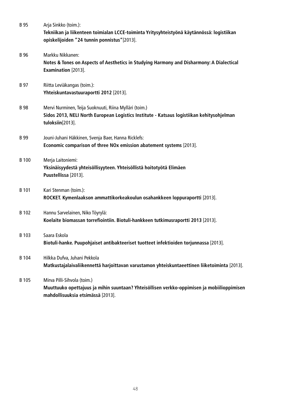| <b>B</b> 95  | Arja Sinkko (toim.):<br>Tekniikan ja liikenteen toimialan LCCE-toiminta Yritysyhteistyönä käytännössä: logistiikan<br>opiskelijoiden "24 tunnin ponnistus"[2013].       |
|--------------|-------------------------------------------------------------------------------------------------------------------------------------------------------------------------|
| <b>B</b> 96  | Markku Nikkanen:<br>Notes & Tones on Aspects of Aesthetics in Studying Harmony and Disharmony: A Dialectical<br>Examination [2013].                                     |
| B 97         | Riitta Leviäkangas (toim.):<br>Yhteiskuntavastuuraportti 2012 [2013].                                                                                                   |
| <b>B</b> 98  | Mervi Nurminen, Teija Suoknuuti, Riina Mylläri (toim.)<br>Sidos 2013, NELI North European Logistics Institute - Katsaus logistiikan kehitysohjelman<br>tuloksiin[2013]. |
| <b>B</b> 99  | Jouni-Juhani Häkkinen, Svenja Baer, Hanna Ricklefs:<br>Economic comparison of three NOx emission abatement systems [2013].                                              |
| <b>B</b> 100 | Merja Laitoniemi:<br>Yksinäisyydestä yhteisöllisyyteen. Yhteisöllistä hoitotyötä Elimäen<br>Puustellissa [2013].                                                        |
| B 101        | Kari Stenman (toim.):<br>ROCKET. Kymenlaakson ammattikorkeakoulun osahankkeen loppuraportti [2013].                                                                     |
| B 102        | Hannu Sarvelainen, Niko Töyrylä:<br>Koelaite biomassan torrefiointiin. Biotuli-hankkeen tutkimusraportti 2013 [2013].                                                   |
| B 103        | Saara Eskola<br>Biotuli-hanke. Puupohjaiset antibakteeriset tuotteet infektioiden torjunnassa [2013].                                                                   |
| B 104        | Hilkka Dufva, Juhani Pekkola<br>Matkustajalaivaliikennettä harjoittavan varustamon yhteiskuntaeettinen liiketoiminta [2013].                                            |
| B 105        | Mirva Pilli-Sihvola (toim.)<br>Muuttuuko opettajuus ja mihin suuntaan? Yhteisöllisen verkko-oppimisen ja mobiilioppimisen<br>mahdollisuuksia etsimässä [2013].          |